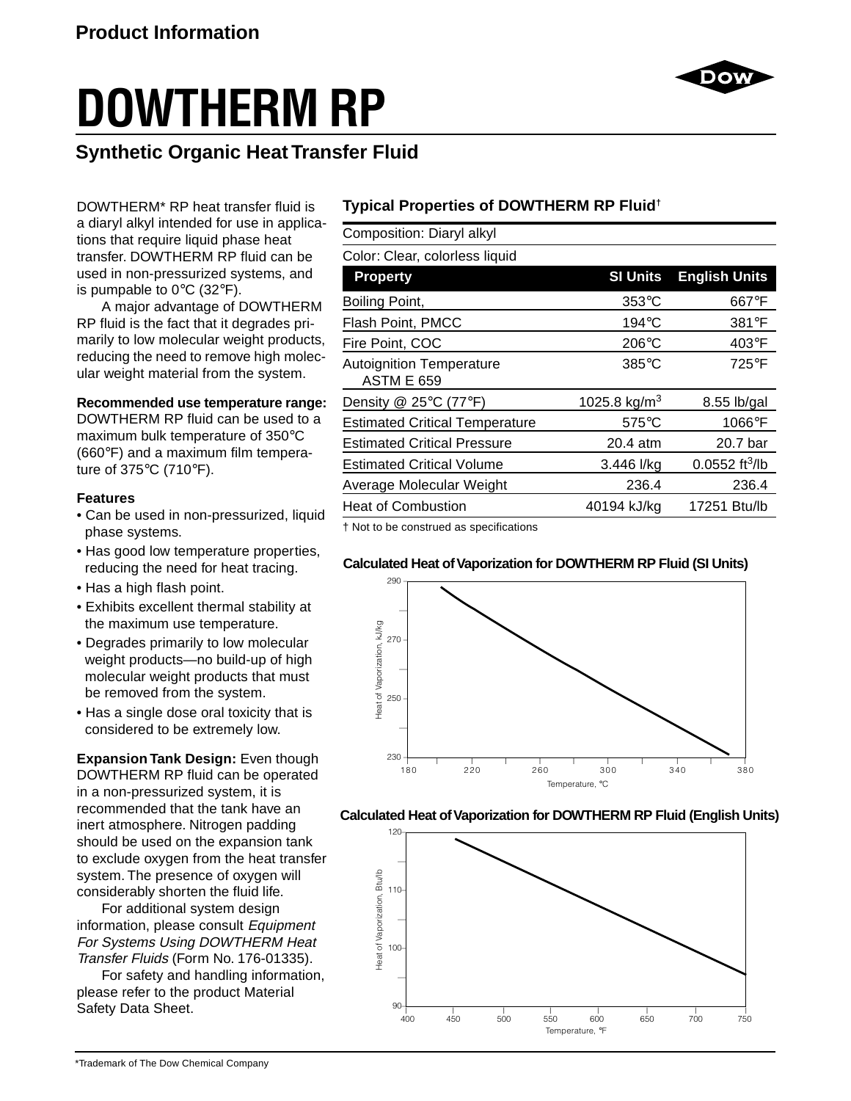# **DOWTHERM RP**

# **Synthetic Organic Heat Transfer Fluid**

DOWTHERM\* RP heat transfer fluid is a diaryl alkyl intended for use in applications that require liquid phase heat transfer. DOWTHERM RP fluid can be used in non-pressurized systems, and is pumpable to  $0^{\circ}$ C (32 $^{\circ}$ F).

A major advantage of DOWTHERM RP fluid is the fact that it degrades primarily to low molecular weight products, reducing the need to remove high molecular weight material from the system.

#### **Recommended use temperature range:**

DOWTHERM RP fluid can be used to a maximum bulk temperature of 350°C (660°F) and a maximum film temperature of 375°C (710°F).

#### **Features**

- Can be used in non-pressurized, liquid phase systems.
- Has good low temperature properties, reducing the need for heat tracing.
- Has a high flash point.
- Exhibits excellent thermal stability at the maximum use temperature.
- Degrades primarily to low molecular weight products—no build-up of high molecular weight products that must be removed from the system.
- Has a single dose oral toxicity that is considered to be extremely low.

**Expansion Tank Design:** Even though DOWTHERM RP fluid can be operated in a non-pressurized system, it is recommended that the tank have an inert atmosphere. Nitrogen padding should be used on the expansion tank to exclude oxygen from the heat transfer system. The presence of oxygen will considerably shorten the fluid life.

For additional system design information, please consult Equipment For Systems Using DOWTHERM Heat Transfer Fluids (Form No. 176-01335).

For safety and handling information, please refer to the product Material Safety Data Sheet.

## **Typical Properties of DOWTHERM RP Fluid†**

Composition: Diaryl alkyl

Color: Clear, colorless liquid

| <b>Property</b>                                      | <b>SI Units</b>          | <b>English Units</b>         |
|------------------------------------------------------|--------------------------|------------------------------|
| Boiling Point,                                       | $353^{\circ}$ C          | 667°F                        |
| Flash Point, PMCC                                    | $194^{\circ}$ C          | $381^\circ F$                |
| Fire Point, COC                                      | $206^{\circ}$ C          | $403^{\circ}F$               |
| <b>Autoignition Temperature</b><br><b>ASTM E 659</b> | $385^{\circ}$ C          | 725°F                        |
| Density @ 25 $\degree$ C (77 $\degree$ F)            | 1025.8 kg/m <sup>3</sup> | 8.55 lb/gal                  |
| <b>Estimated Critical Temperature</b>                | $575^{\circ}$ C          | 1066°F                       |
| <b>Estimated Critical Pressure</b>                   | 20.4 atm                 | 20.7 bar                     |
| <b>Estimated Critical Volume</b>                     | 3.446 l/kg               | $0.0552$ ft <sup>3</sup> /lb |
| Average Molecular Weight                             | 236.4                    | 236.4                        |
| <b>Heat of Combustion</b>                            | 40194 kJ/kg              | 17251 Btu/lb                 |

† Not to be construed as specifications

#### **Calculated Heat of Vaporization for DOWTHERM RP Fluid (SI Units)**



#### **Calculated Heat of Vaporization for DOWTHERM RP Fluid (English Units)**